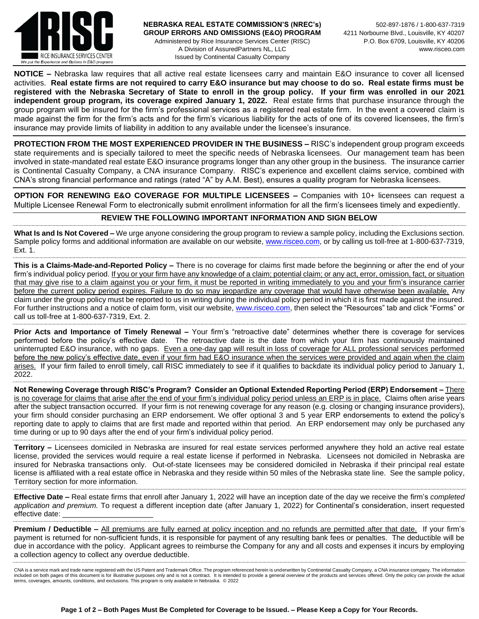

**NOTICE –** Nebraska law requires that all active real estate licensees carry and maintain E&O insurance to cover all licensed activities. **Real estate firms are not required to carry E&O insurance but may choose to do so. Real estate firms must be registered with the Nebraska Secretary of State to enroll in the group policy. If your firm was enrolled in our 2021 independent group program, its coverage expired January 1, 2022.** Real estate firms that purchase insurance through the group program will be insured for the firm's professional services as a registered real estate firm. In the event a covered claim is made against the firm for the firm's acts and for the firm's vicarious liability for the acts of one of its covered licensees, the firm's insurance may provide limits of liability in addition to any available under the licensee's insurance.

**PROTECTION FROM THE MOST EXPERIENCED PROVIDER IN THE BUSINESS –** RISC's independent group program exceeds state requirements and is specially tailored to meet the specific needs of Nebraska licensees. Our management team has been involved in state-mandated real estate E&O insurance programs longer than any other group in the business. The insurance carrier is Continental Casualty Company, a CNA insurance Company. RISC's experience and excellent claims service, combined with CNA's strong financial performance and ratings (rated "A" by A.M. Best), ensures a quality program for Nebraska licensees.

**OPTION FOR RENEWING E&O COVERAGE FOR MULTIPLE LICENSEES –** Companies with 10+ licensees can request a Multiple Licensee Renewal Form to electronically submit enrollment information for all the firm's licensees timely and expediently.

## **REVIEW THE FOLLOWING IMPORTANT INFORMATION AND SIGN BELOW**

**What Is and Is Not Covered –** We urge anyone considering the group program to review a sample policy, including the Exclusions section. Sample policy forms and additional information are available on our website[, www.risceo.com,](http://www.risceo.com/) or by calling us toll-free at 1-800-637-7319, Ext. 1.

**This is a Claims-Made-and-Reported Policy –** There is no coverage for claims first made before the beginning or after the end of your firm's individual policy period. If you or your firm have any knowledge of a claim; potential claim; or any act, error, omission, fact, or situation that may give rise to a claim against you or your firm, it must be reported in writing immediately to you and your firm's insurance carrier before the current policy period expires. Failure to do so may jeopardize any coverage that would have otherwise been available. Any claim under the group policy must be reported to us in writing during the individual policy period in which it is first made against the insured. For further instructions and a notice of claim form, visit our website, [www.risceo.com,](http://www.risceo.com/notice-of-claim-form) then select the "Resources" tab and click "Forms" or call us toll-free at 1-800-637-7319, Ext. 2.

**Prior Acts and Importance of Timely Renewal –** Your firm's "retroactive date" determines whether there is coverage for services performed before the policy's effective date. The retroactive date is the date from which your firm has continuously maintained uninterrupted E&O insurance, with no gaps. Even a one-day gap will result in loss of coverage for ALL professional services performed before the new policy's effective date, even if your firm had E&O insurance when the services were provided and again when the claim arises. If your firm failed to enroll timely, call RISC immediately to see if it qualifies to backdate its individual policy period to January 1, 2022.

**Not Renewing Coverage through RISC's Program? Consider an Optional Extended Reporting Period (ERP) Endorsement –** There is no coverage for claims that arise after the end of your firm's individual policy period unless an ERP is in place. Claims often arise years after the subject transaction occurred. If your firm is not renewing coverage for any reason (e.g. closing or changing insurance providers), your firm should consider purchasing an ERP endorsement. We offer optional 3 and 5 year ERP endorsements to extend the policy's reporting date to apply to claims that are first made and reported within that period. An ERP endorsement may only be purchased any time during or up to 90 days after the end of your firm's individual policy period.

**Territory –** Licensees domiciled in Nebraska are insured for real estate services performed anywhere they hold an active real estate license, provided the services would require a real estate license if performed in Nebraska. Licensees not domiciled in Nebraska are insured for Nebraska transactions only. Out-of-state licensees may be considered domiciled in Nebraska if their principal real estate license is affiliated with a real estate office in Nebraska and they reside within 50 miles of the Nebraska state line. See the sample policy, Territory section for more information.

**Effective Date –** Real estate firms that enroll after January 1, 2022 will have an inception date of the day we receive the firm's *completed application and premium.* To request a different inception date (after January 1, 2022) for Continental's consideration, insert requested effective date:

**Premium / Deductible –** All premiums are fully earned at policy inception and no refunds are permitted after that date. If your firm's payment is returned for non-sufficient funds, it is responsible for payment of any resulting bank fees or penalties. The deductible will be due in accordance with the policy. Applicant agrees to reimburse the Company for any and all costs and expenses it incurs by employing a collection agency to collect any overdue deductible.

CNA is a service mark and trade name registered with the US Patent and Trademark Office. The program referenced herein is underwritten by Continental Casualty Company, a CNA insurance company. The information included on both pages of this document is for illustrative purposes only and is not a contract. It is intended to provide a general overview of the products and services offered. Only the policy can provide the actual terms, coverages, amounts, conditions, and exclusions. This program is only available in Nebraska. © 2022